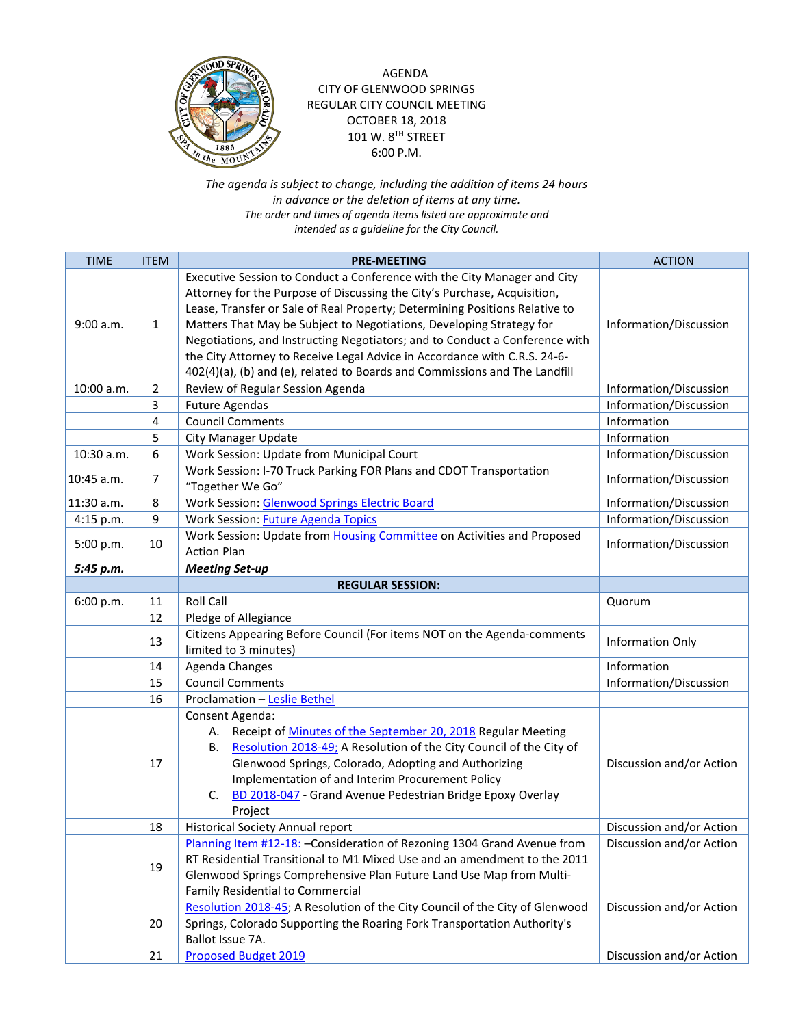

AGENDA CITY OF GLENWOOD SPRINGS REGULAR CITY COUNCIL MEETING OCTOBER 18, 2018 101 W. 8TH STREET 6:00 P.M.

*The agenda is subject to change, including the addition of items 24 hours in advance or the deletion of items at any time. The order and times of agenda items listed are approximate and intended as a guideline for the City Council.*

| <b>TIME</b> | <b>ITEM</b>    | <b>PRE-MEETING</b>                                                                                                                                                                                                                                                                                                                                                                                                                                                                                                                                    | <b>ACTION</b>            |
|-------------|----------------|-------------------------------------------------------------------------------------------------------------------------------------------------------------------------------------------------------------------------------------------------------------------------------------------------------------------------------------------------------------------------------------------------------------------------------------------------------------------------------------------------------------------------------------------------------|--------------------------|
| 9:00 a.m.   | 1              | Executive Session to Conduct a Conference with the City Manager and City<br>Attorney for the Purpose of Discussing the City's Purchase, Acquisition,<br>Lease, Transfer or Sale of Real Property; Determining Positions Relative to<br>Matters That May be Subject to Negotiations, Developing Strategy for<br>Negotiations, and Instructing Negotiators; and to Conduct a Conference with<br>the City Attorney to Receive Legal Advice in Accordance with C.R.S. 24-6-<br>402(4)(a), (b) and (e), related to Boards and Commissions and The Landfill | Information/Discussion   |
| 10:00 a.m.  | 2              | Review of Regular Session Agenda                                                                                                                                                                                                                                                                                                                                                                                                                                                                                                                      | Information/Discussion   |
|             | 3              | <b>Future Agendas</b>                                                                                                                                                                                                                                                                                                                                                                                                                                                                                                                                 | Information/Discussion   |
|             | 4              | <b>Council Comments</b>                                                                                                                                                                                                                                                                                                                                                                                                                                                                                                                               | Information              |
|             | 5              | <b>City Manager Update</b>                                                                                                                                                                                                                                                                                                                                                                                                                                                                                                                            | Information              |
| 10:30 a.m.  | 6              | Work Session: Update from Municipal Court                                                                                                                                                                                                                                                                                                                                                                                                                                                                                                             | Information/Discussion   |
| 10:45 a.m.  | $\overline{7}$ | Work Session: I-70 Truck Parking FOR Plans and CDOT Transportation<br>"Together We Go"                                                                                                                                                                                                                                                                                                                                                                                                                                                                | Information/Discussion   |
| 11:30 a.m.  | 8              | <b>Work Session: Glenwood Springs Electric Board</b>                                                                                                                                                                                                                                                                                                                                                                                                                                                                                                  | Information/Discussion   |
| 4:15 p.m.   | 9              | <b>Work Session: Future Agenda Topics</b>                                                                                                                                                                                                                                                                                                                                                                                                                                                                                                             | Information/Discussion   |
| 5:00 p.m.   | 10             | Work Session: Update from Housing Committee on Activities and Proposed<br><b>Action Plan</b>                                                                                                                                                                                                                                                                                                                                                                                                                                                          | Information/Discussion   |
| 5:45 p.m.   |                | <b>Meeting Set-up</b>                                                                                                                                                                                                                                                                                                                                                                                                                                                                                                                                 |                          |
|             |                | <b>REGULAR SESSION:</b>                                                                                                                                                                                                                                                                                                                                                                                                                                                                                                                               |                          |
| 6:00 p.m.   | 11             | <b>Roll Call</b>                                                                                                                                                                                                                                                                                                                                                                                                                                                                                                                                      | Quorum                   |
|             | 12             | Pledge of Allegiance                                                                                                                                                                                                                                                                                                                                                                                                                                                                                                                                  |                          |
|             | 13             | Citizens Appearing Before Council (For items NOT on the Agenda-comments<br>limited to 3 minutes)                                                                                                                                                                                                                                                                                                                                                                                                                                                      | Information Only         |
|             | 14             | Agenda Changes                                                                                                                                                                                                                                                                                                                                                                                                                                                                                                                                        | Information              |
|             | 15             | <b>Council Comments</b>                                                                                                                                                                                                                                                                                                                                                                                                                                                                                                                               | Information/Discussion   |
|             | 16             | Proclamation - Leslie Bethel                                                                                                                                                                                                                                                                                                                                                                                                                                                                                                                          |                          |
|             | 17             | Consent Agenda:<br>Receipt of Minutes of the September 20, 2018 Regular Meeting<br>А.<br>Resolution 2018-49; A Resolution of the City Council of the City of<br>В.<br>Glenwood Springs, Colorado, Adopting and Authorizing<br>Implementation of and Interim Procurement Policy<br>BD 2018-047 - Grand Avenue Pedestrian Bridge Epoxy Overlay<br>C.<br>Project                                                                                                                                                                                         | Discussion and/or Action |
|             | 18             | <b>Historical Society Annual report</b>                                                                                                                                                                                                                                                                                                                                                                                                                                                                                                               | Discussion and/or Action |
|             | 19             | Planning Item #12-18: - Consideration of Rezoning 1304 Grand Avenue from<br>RT Residential Transitional to M1 Mixed Use and an amendment to the 2011<br>Glenwood Springs Comprehensive Plan Future Land Use Map from Multi-<br>Family Residential to Commercial                                                                                                                                                                                                                                                                                       | Discussion and/or Action |
|             | 20             | Resolution 2018-45; A Resolution of the City Council of the City of Glenwood<br>Springs, Colorado Supporting the Roaring Fork Transportation Authority's<br>Ballot Issue 7A.                                                                                                                                                                                                                                                                                                                                                                          | Discussion and/or Action |
|             | 21             | <b>Proposed Budget 2019</b>                                                                                                                                                                                                                                                                                                                                                                                                                                                                                                                           | Discussion and/or Action |